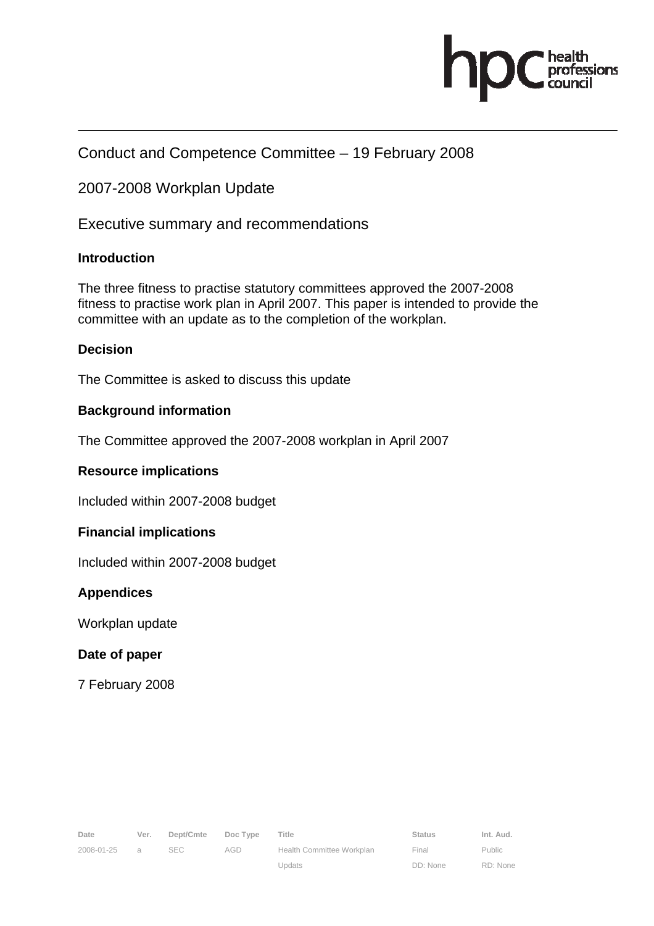

### Conduct and Competence Committee – 19 February 2008

### 2007-2008 Workplan Update

Executive summary and recommendations

#### **Introduction**

The three fitness to practise statutory committees approved the 2007-2008 fitness to practise work plan in April 2007. This paper is intended to provide the committee with an update as to the completion of the workplan.

#### **Decision**

The Committee is asked to discuss this update

#### **Background information**

The Committee approved the 2007-2008 workplan in April 2007

#### **Resource implications**

Included within 2007-2008 budget

#### **Financial implications**

Included within 2007-2008 budget

#### **Appendices**

Workplan update

#### **Date of paper**

7 February 2008

Public RD: None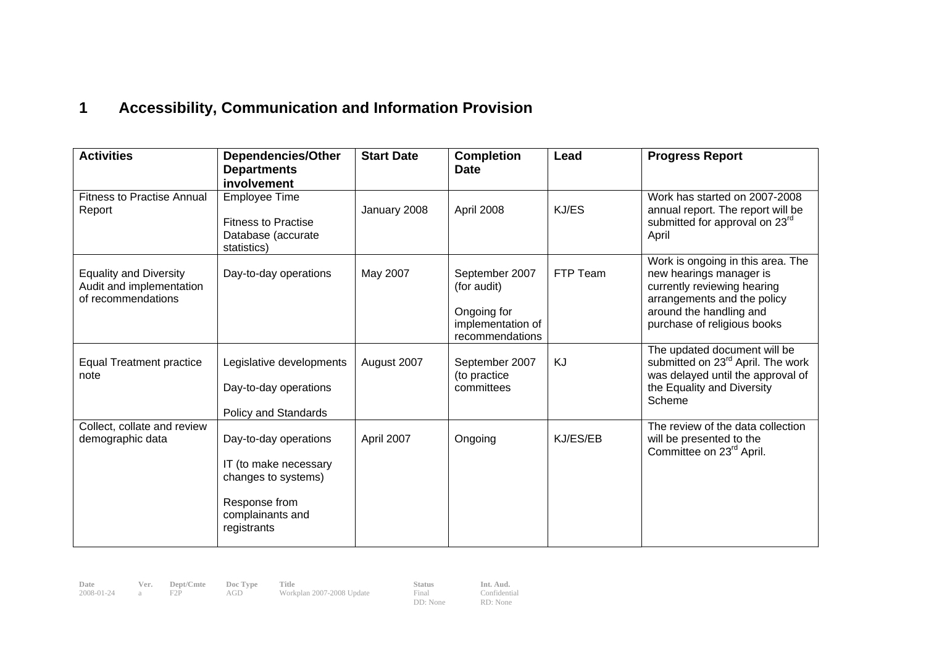# **1 Accessibility, Communication and Information Provision**

| <b>Activities</b>                                                               | <b>Dependencies/Other</b><br><b>Departments</b><br>involvement                                                            | <b>Start Date</b> | <b>Completion</b><br><b>Date</b>                                                     | Lead     | <b>Progress Report</b>                                                                                                                                                               |
|---------------------------------------------------------------------------------|---------------------------------------------------------------------------------------------------------------------------|-------------------|--------------------------------------------------------------------------------------|----------|--------------------------------------------------------------------------------------------------------------------------------------------------------------------------------------|
| <b>Fitness to Practise Annual</b><br>Report                                     | <b>Employee Time</b><br><b>Fitness to Practise</b><br>Database (accurate<br>statistics)                                   | January 2008      | April 2008                                                                           | KJ/ES    | Work has started on 2007-2008<br>annual report. The report will be<br>submitted for approval on 23 <sup>rd</sup><br>April                                                            |
| <b>Equality and Diversity</b><br>Audit and implementation<br>of recommendations | Day-to-day operations                                                                                                     | May 2007          | September 2007<br>(for audit)<br>Ongoing for<br>implementation of<br>recommendations | FTP Team | Work is ongoing in this area. The<br>new hearings manager is<br>currently reviewing hearing<br>arrangements and the policy<br>around the handling and<br>purchase of religious books |
| <b>Equal Treatment practice</b><br>note                                         | Legislative developments<br>Day-to-day operations<br>Policy and Standards                                                 | August 2007       | September 2007<br>(to practice<br>committees                                         | KJ       | The updated document will be<br>submitted on 23 <sup>rd</sup> April. The work<br>was delayed until the approval of<br>the Equality and Diversity<br>Scheme                           |
| Collect, collate and review<br>demographic data                                 | Day-to-day operations<br>IT (to make necessary<br>changes to systems)<br>Response from<br>complainants and<br>registrants | April 2007        | Ongoing                                                                              | KJ/ES/EB | The review of the data collection<br>will be presented to the<br>Committee on 23 <sup>rd</sup> April.                                                                                |

**Date Ver. Dept/Cmte Doc Type Title Status Int. Aud.**  2008-01-24 a F2P AGD Workplan 2007-2008 Update Final

DD: None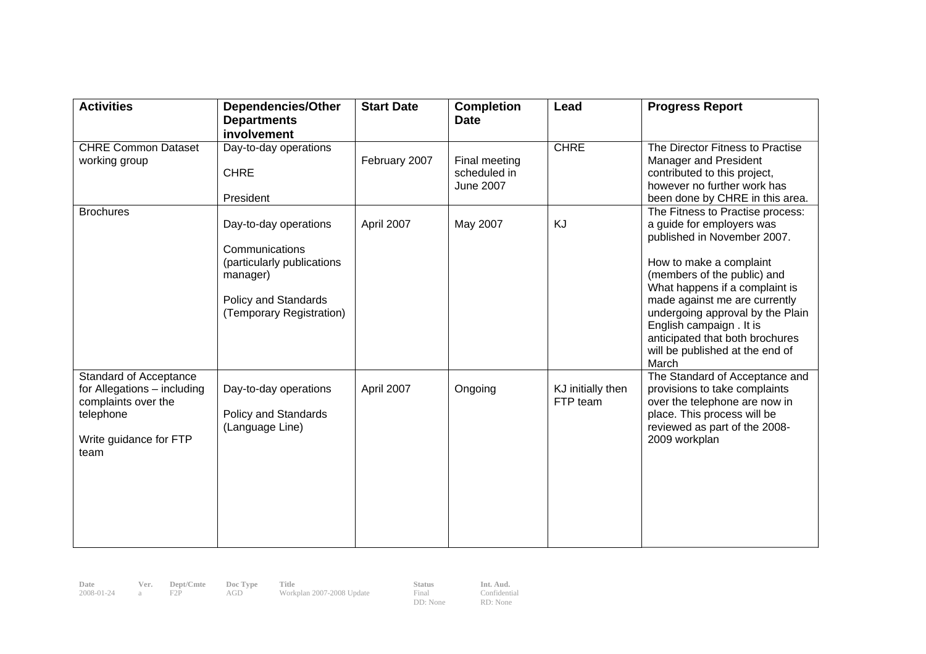| <b>Activities</b>                                                                                                                  | <b>Dependencies/Other</b><br><b>Departments</b><br>involvement                                                                        | <b>Start Date</b> | <b>Completion</b><br><b>Date</b>                  | Lead                          | <b>Progress Report</b>                                                                                                                                                                                                                                                                                                                                                   |
|------------------------------------------------------------------------------------------------------------------------------------|---------------------------------------------------------------------------------------------------------------------------------------|-------------------|---------------------------------------------------|-------------------------------|--------------------------------------------------------------------------------------------------------------------------------------------------------------------------------------------------------------------------------------------------------------------------------------------------------------------------------------------------------------------------|
| <b>CHRE Common Dataset</b><br>working group                                                                                        | Day-to-day operations<br><b>CHRE</b><br>President                                                                                     | February 2007     | Final meeting<br>scheduled in<br><b>June 2007</b> | <b>CHRE</b>                   | The Director Fitness to Practise<br><b>Manager and President</b><br>contributed to this project,<br>however no further work has<br>been done by CHRE in this area.                                                                                                                                                                                                       |
| <b>Brochures</b>                                                                                                                   | Day-to-day operations<br>Communications<br>(particularly publications<br>manager)<br>Policy and Standards<br>(Temporary Registration) | April 2007        | May 2007                                          | KJ                            | The Fitness to Practise process:<br>a guide for employers was<br>published in November 2007.<br>How to make a complaint<br>(members of the public) and<br>What happens if a complaint is<br>made against me are currently<br>undergoing approval by the Plain<br>English campaign . It is<br>anticipated that both brochures<br>will be published at the end of<br>March |
| <b>Standard of Acceptance</b><br>for Allegations - including<br>complaints over the<br>telephone<br>Write guidance for FTP<br>team | Day-to-day operations<br>Policy and Standards<br>(Language Line)                                                                      | April 2007        | Ongoing                                           | KJ initially then<br>FTP team | The Standard of Acceptance and<br>provisions to take complaints<br>over the telephone are now in<br>place. This process will be<br>reviewed as part of the 2008-<br>2009 workplan                                                                                                                                                                                        |

| Date       | Ver. | Dept/Cmte | Doc Type | Title                     | <b>Status</b>     | Int. Aud.                |
|------------|------|-----------|----------|---------------------------|-------------------|--------------------------|
| 2008-01-24 | -а — |           | AGD      | Workplan 2007-2008 Update | Final<br>DD: None | Confidential<br>RD: None |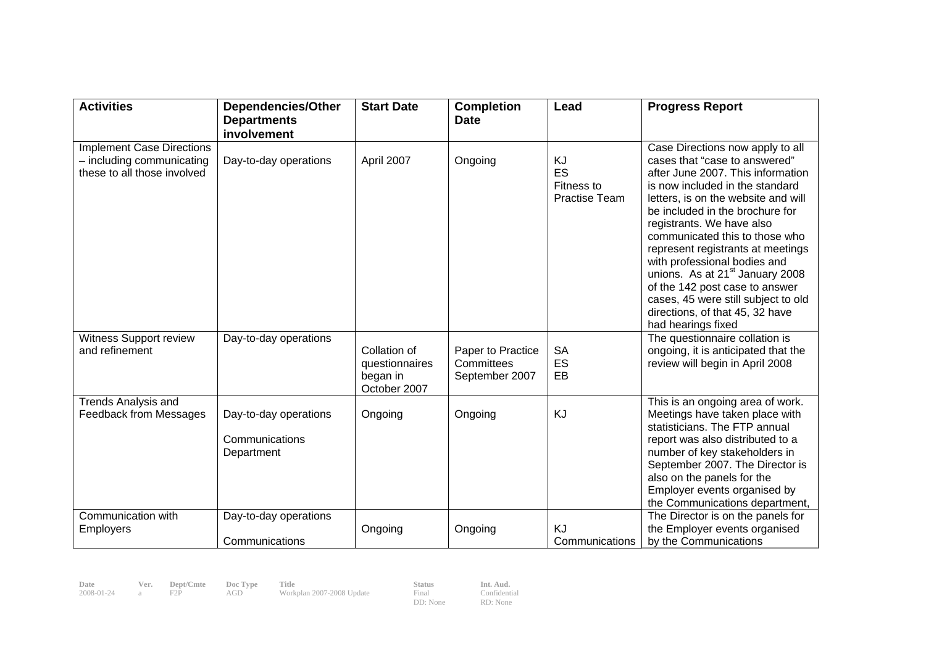| <b>Activities</b>                                               | <b>Dependencies/Other</b> | <b>Start Date</b>                                          | <b>Completion</b>                                 | Lead                              | <b>Progress Report</b>                                                                                                                                                                                                                                                                                                                                                                                                                                              |
|-----------------------------------------------------------------|---------------------------|------------------------------------------------------------|---------------------------------------------------|-----------------------------------|---------------------------------------------------------------------------------------------------------------------------------------------------------------------------------------------------------------------------------------------------------------------------------------------------------------------------------------------------------------------------------------------------------------------------------------------------------------------|
|                                                                 | <b>Departments</b>        |                                                            | <b>Date</b>                                       |                                   |                                                                                                                                                                                                                                                                                                                                                                                                                                                                     |
|                                                                 | involvement               |                                                            |                                                   |                                   |                                                                                                                                                                                                                                                                                                                                                                                                                                                                     |
| <b>Implement Case Directions</b><br>$-$ including communicating | Day-to-day operations     | April 2007                                                 | Ongoing                                           | KJ                                | Case Directions now apply to all<br>cases that "case to answered"                                                                                                                                                                                                                                                                                                                                                                                                   |
| these to all those involved                                     |                           |                                                            |                                                   | ES<br>Fitness to<br>Practise Team | after June 2007. This information<br>is now included in the standard<br>letters, is on the website and will<br>be included in the brochure for<br>registrants. We have also<br>communicated this to those who<br>represent registrants at meetings<br>with professional bodies and<br>unions. As at 21 <sup>st</sup> January 2008<br>of the 142 post case to answer<br>cases, 45 were still subject to old<br>directions, of that 45, 32 have<br>had hearings fixed |
| Witness Support review                                          | Day-to-day operations     |                                                            |                                                   |                                   | The questionnaire collation is                                                                                                                                                                                                                                                                                                                                                                                                                                      |
| and refinement                                                  |                           | Collation of<br>questionnaires<br>began in<br>October 2007 | Paper to Practice<br>Committees<br>September 2007 | <b>SA</b><br>ES<br>EB             | ongoing, it is anticipated that the<br>review will begin in April 2008                                                                                                                                                                                                                                                                                                                                                                                              |
| <b>Trends Analysis and</b><br>Feedback from Messages            | Day-to-day operations     | Ongoing                                                    | Ongoing                                           | KJ                                | This is an ongoing area of work.<br>Meetings have taken place with                                                                                                                                                                                                                                                                                                                                                                                                  |
|                                                                 | Communications            |                                                            |                                                   |                                   | statisticians. The FTP annual<br>report was also distributed to a                                                                                                                                                                                                                                                                                                                                                                                                   |
|                                                                 | Department                |                                                            |                                                   |                                   | number of key stakeholders in                                                                                                                                                                                                                                                                                                                                                                                                                                       |
|                                                                 |                           |                                                            |                                                   |                                   | September 2007. The Director is<br>also on the panels for the                                                                                                                                                                                                                                                                                                                                                                                                       |
|                                                                 |                           |                                                            |                                                   |                                   | Employer events organised by                                                                                                                                                                                                                                                                                                                                                                                                                                        |
|                                                                 |                           |                                                            |                                                   |                                   | the Communications department,                                                                                                                                                                                                                                                                                                                                                                                                                                      |
| Communication with                                              | Day-to-day operations     |                                                            |                                                   |                                   | The Director is on the panels for                                                                                                                                                                                                                                                                                                                                                                                                                                   |
| Employers                                                       |                           | Ongoing                                                    | Ongoing                                           | <b>KJ</b>                         | the Employer events organised                                                                                                                                                                                                                                                                                                                                                                                                                                       |
|                                                                 | Communications            |                                                            |                                                   | Communications                    | by the Communications                                                                                                                                                                                                                                                                                                                                                                                                                                               |

**Date Ver. Dept/Cmte Doc Type Title Status Int. Aud.**  2008-01-24 a F2P AGD Workplan 2007-2008 Update Final

DD: None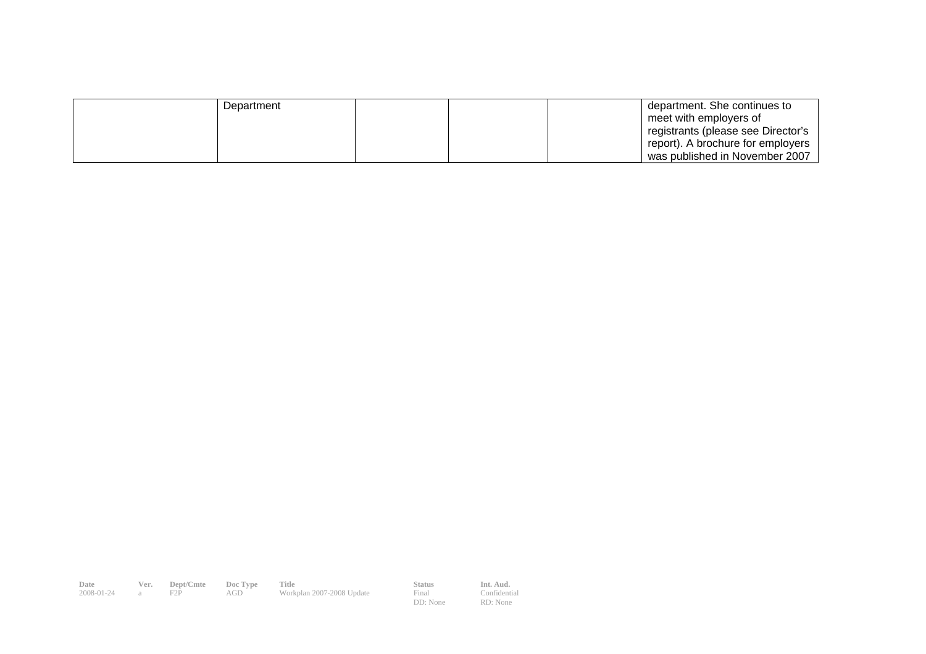| Department |  | department. She continues to       |
|------------|--|------------------------------------|
|            |  | meet with employers of             |
|            |  | registrants (please see Director's |
|            |  | report). A brochure for employers  |
|            |  | was published in November 2007     |

**Date Ver. Dept/Cmte Doc Type Title Status Int. Aud.**  2008-01-24 a F2P AGD Workplan 2007-2008 Update Final

DD: None

RD: None

Confidential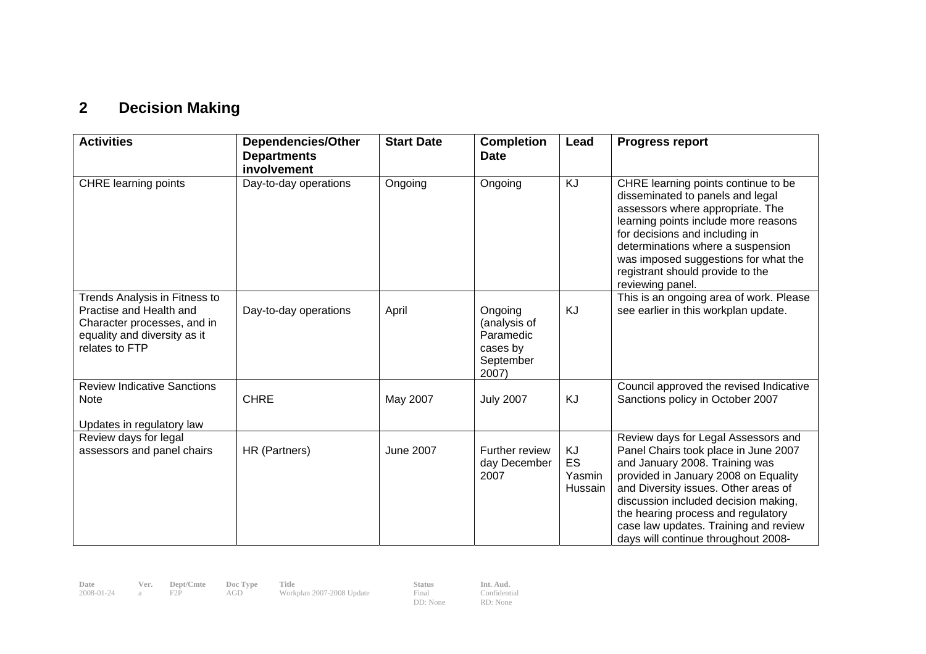# **2 Decision Making**

| <b>Activities</b>                                                                                                                         | <b>Dependencies/Other</b><br><b>Departments</b><br>involvement | <b>Start Date</b> | <b>Completion</b><br><b>Date</b>                                       | Lead                                 | <b>Progress report</b>                                                                                                                                                                                                                                                                                                                                      |
|-------------------------------------------------------------------------------------------------------------------------------------------|----------------------------------------------------------------|-------------------|------------------------------------------------------------------------|--------------------------------------|-------------------------------------------------------------------------------------------------------------------------------------------------------------------------------------------------------------------------------------------------------------------------------------------------------------------------------------------------------------|
| <b>CHRE</b> learning points                                                                                                               | Day-to-day operations                                          | Ongoing           | Ongoing                                                                | <b>KJ</b>                            | CHRE learning points continue to be<br>disseminated to panels and legal<br>assessors where appropriate. The<br>learning points include more reasons<br>for decisions and including in<br>determinations where a suspension<br>was imposed suggestions for what the<br>registrant should provide to the<br>reviewing panel.                                  |
| Trends Analysis in Fitness to<br>Practise and Health and<br>Character processes, and in<br>equality and diversity as it<br>relates to FTP | Day-to-day operations                                          | April             | Ongoing<br>(analysis of<br>Paramedic<br>cases by<br>September<br>2007) | KJ                                   | This is an ongoing area of work. Please<br>see earlier in this workplan update.                                                                                                                                                                                                                                                                             |
| <b>Review Indicative Sanctions</b><br><b>Note</b><br>Updates in regulatory law                                                            | <b>CHRE</b>                                                    | May 2007          | <b>July 2007</b>                                                       | KJ                                   | Council approved the revised Indicative<br>Sanctions policy in October 2007                                                                                                                                                                                                                                                                                 |
| Review days for legal<br>assessors and panel chairs                                                                                       | HR (Partners)                                                  | <b>June 2007</b>  | Further review<br>day December<br>2007                                 | KJ<br><b>ES</b><br>Yasmin<br>Hussain | Review days for Legal Assessors and<br>Panel Chairs took place in June 2007<br>and January 2008. Training was<br>provided in January 2008 on Equality<br>and Diversity issues. Other areas of<br>discussion included decision making,<br>the hearing process and regulatory<br>case law updates. Training and review<br>days will continue throughout 2008- |

**Date Ver. Dept/Cmte Doc Type Title Status Int. Aud.**  2008-01-24 a F2P AGD Workplan 2007-2008 Update Final

DD: None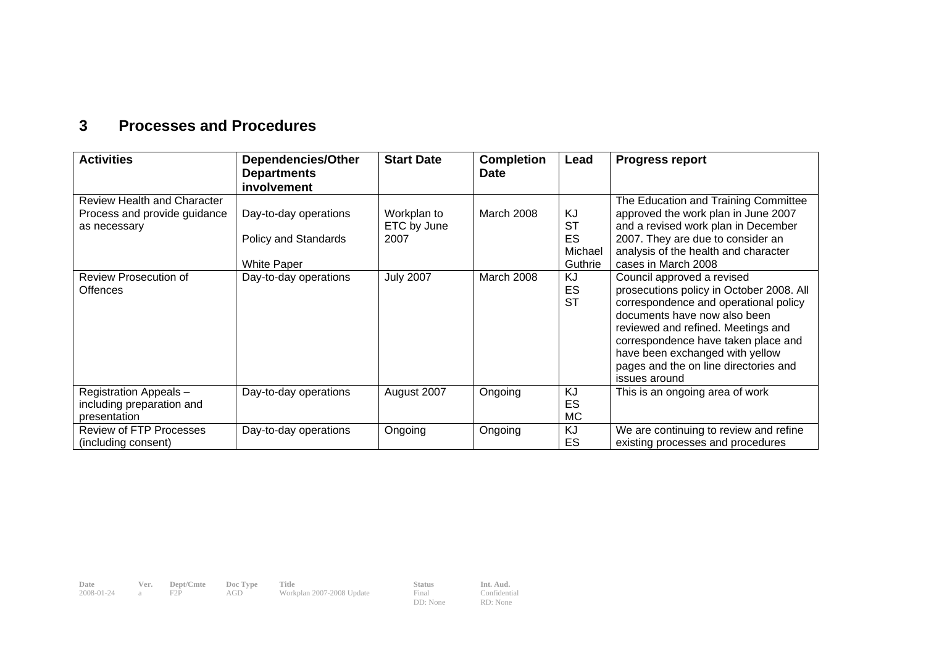## **3 Processes and Procedures**

| <b>Activities</b>                                                                  | <b>Dependencies/Other</b><br><b>Departments</b><br>involvement      | <b>Start Date</b>                  | <b>Completion</b><br><b>Date</b> | Lead                                               | <b>Progress report</b>                                                                                                                                                                                                                                                                                                    |
|------------------------------------------------------------------------------------|---------------------------------------------------------------------|------------------------------------|----------------------------------|----------------------------------------------------|---------------------------------------------------------------------------------------------------------------------------------------------------------------------------------------------------------------------------------------------------------------------------------------------------------------------------|
| <b>Review Health and Character</b><br>Process and provide guidance<br>as necessary | Day-to-day operations<br>Policy and Standards<br><b>White Paper</b> | Workplan to<br>ETC by June<br>2007 | March 2008                       | KJ<br><b>ST</b><br><b>ES</b><br>Michael<br>Guthrie | The Education and Training Committee<br>approved the work plan in June 2007<br>and a revised work plan in December<br>2007. They are due to consider an<br>analysis of the health and character<br>cases in March 2008                                                                                                    |
| Review Prosecution of<br><b>Offences</b>                                           | Day-to-day operations                                               | <b>July 2007</b>                   | <b>March 2008</b>                | KJ<br>ES<br><b>ST</b>                              | Council approved a revised<br>prosecutions policy in October 2008. All<br>correspondence and operational policy<br>documents have now also been<br>reviewed and refined. Meetings and<br>correspondence have taken place and<br>have been exchanged with yellow<br>pages and the on line directories and<br>issues around |
| Registration Appeals -<br>including preparation and<br>presentation                | Day-to-day operations                                               | August 2007                        | Ongoing                          | KJ<br>ES<br>МC                                     | This is an ongoing area of work                                                                                                                                                                                                                                                                                           |
| <b>Review of FTP Processes</b><br>(including consent)                              | Day-to-day operations                                               | Ongoing                            | Ongoing                          | <b>KJ</b><br>ES                                    | We are continuing to review and refine<br>existing processes and procedures                                                                                                                                                                                                                                               |

**Date Ver. Dept/Cmte Doc Type Title Status Int. Aud.**  2008-01-24 a F2P AGD Workplan 2007-2008 Update Final

DD: None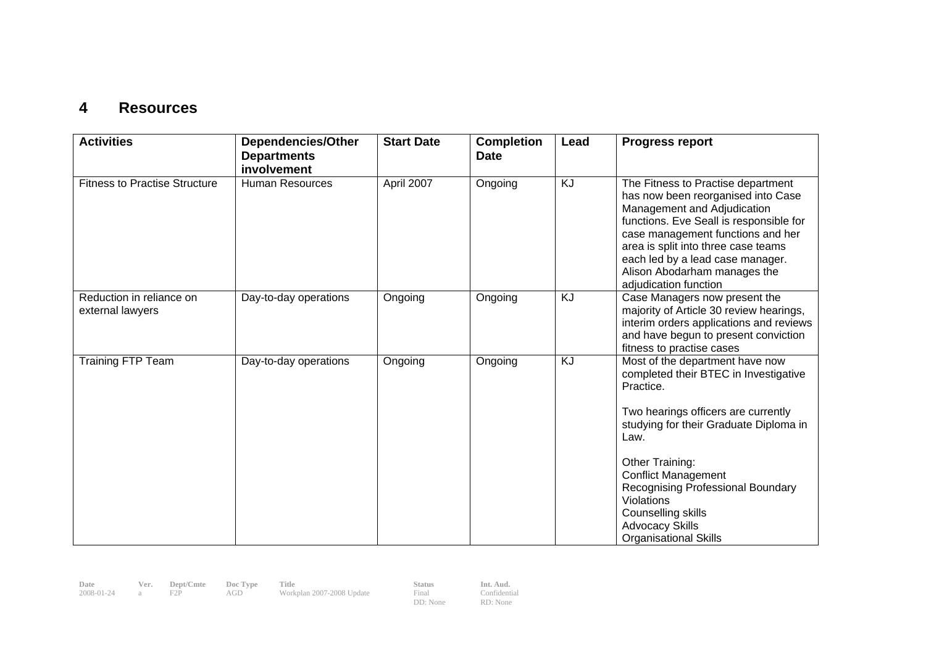#### **4 Resources**

| <b>Activities</b>                            | <b>Dependencies/Other</b><br><b>Departments</b><br>involvement | <b>Start Date</b> | <b>Completion</b><br><b>Date</b> | Lead | <b>Progress report</b>                                                                                                                                                                                                                                                                                                                                             |
|----------------------------------------------|----------------------------------------------------------------|-------------------|----------------------------------|------|--------------------------------------------------------------------------------------------------------------------------------------------------------------------------------------------------------------------------------------------------------------------------------------------------------------------------------------------------------------------|
| <b>Fitness to Practise Structure</b>         | <b>Human Resources</b>                                         | April 2007        | Ongoing                          | KJ   | The Fitness to Practise department<br>has now been reorganised into Case<br>Management and Adjudication<br>functions. Eve Seall is responsible for<br>case management functions and her<br>area is split into three case teams<br>each led by a lead case manager.<br>Alison Abodarham manages the<br>adjudication function                                        |
| Reduction in reliance on<br>external lawyers | Day-to-day operations                                          | Ongoing           | Ongoing                          | KJ   | Case Managers now present the<br>majority of Article 30 review hearings,<br>interim orders applications and reviews<br>and have begun to present conviction<br>fitness to practise cases                                                                                                                                                                           |
| <b>Training FTP Team</b>                     | Day-to-day operations                                          | Ongoing           | Ongoing                          | KJ   | Most of the department have now<br>completed their BTEC in Investigative<br>Practice.<br>Two hearings officers are currently<br>studying for their Graduate Diploma in<br>Law.<br>Other Training:<br><b>Conflict Management</b><br>Recognising Professional Boundary<br>Violations<br>Counselling skills<br><b>Advocacy Skills</b><br><b>Organisational Skills</b> |

**Date Ver. Dept/Cmte Doc Type Title Status Int. Aud.**  2008-01-24 a F2P AGD Workplan 2007-2008 Update Final

DD: None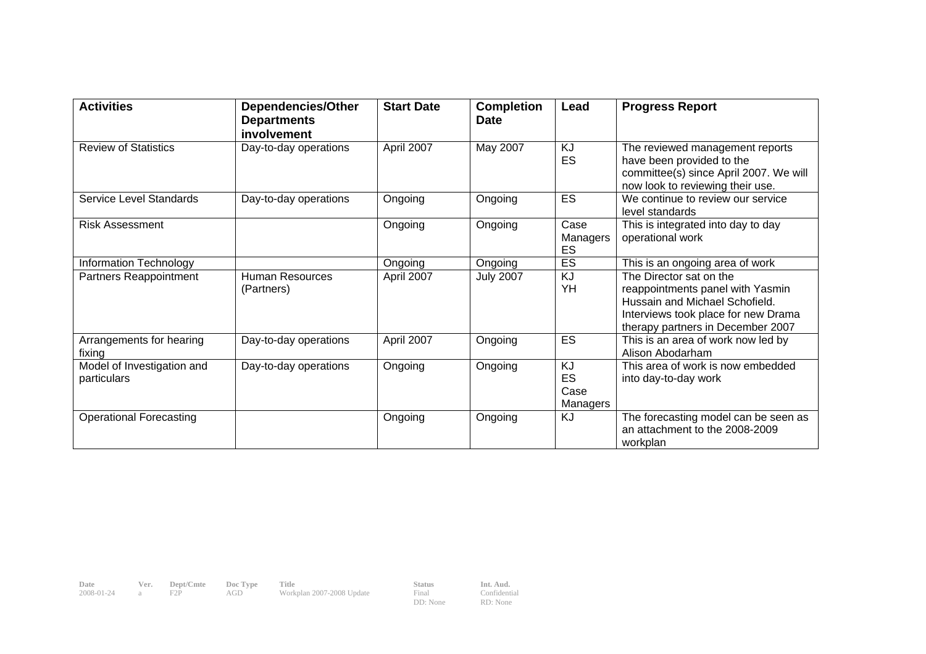| <b>Activities</b>                         | <b>Dependencies/Other</b><br><b>Departments</b><br>involvement | <b>Start Date</b> | <b>Completion</b><br><b>Date</b> | Lead                                              | <b>Progress Report</b>                                                                                                                                                    |
|-------------------------------------------|----------------------------------------------------------------|-------------------|----------------------------------|---------------------------------------------------|---------------------------------------------------------------------------------------------------------------------------------------------------------------------------|
| <b>Review of Statistics</b>               | Day-to-day operations                                          | April 2007        | May 2007                         | KJ<br>ES                                          | The reviewed management reports<br>have been provided to the<br>committee(s) since April 2007. We will<br>now look to reviewing their use.                                |
| <b>Service Level Standards</b>            | Day-to-day operations                                          | Ongoing           | Ongoing                          | ES                                                | We continue to review our service<br>level standards                                                                                                                      |
| <b>Risk Assessment</b>                    |                                                                | Ongoing           | Ongoing                          | Case<br>Managers<br>ES                            | This is integrated into day to day<br>operational work                                                                                                                    |
| Information Technology                    |                                                                | Ongoing           | Ongoing                          | ES                                                | This is an ongoing area of work                                                                                                                                           |
| Partners Reappointment                    | <b>Human Resources</b><br>(Partners)                           | April 2007        | <b>July 2007</b>                 | $\overline{KJ}$<br>YH                             | The Director sat on the<br>reappointments panel with Yasmin<br>Hussain and Michael Schofield.<br>Interviews took place for new Drama<br>therapy partners in December 2007 |
| Arrangements for hearing<br>fixing        | Day-to-day operations                                          | April 2007        | Ongoing                          | ES                                                | This is an area of work now led by<br>Alison Abodarham                                                                                                                    |
| Model of Investigation and<br>particulars | Day-to-day operations                                          | Ongoing           | Ongoing                          | <b>KJ</b><br><b>ES</b><br>Case<br><b>Managers</b> | This area of work is now embedded<br>into day-to-day work                                                                                                                 |
| <b>Operational Forecasting</b>            |                                                                | Ongoing           | Ongoing                          | <b>KJ</b>                                         | The forecasting model can be seen as<br>an attachment to the 2008-2009<br>workplan                                                                                        |

**Date Ver. Dept/Cmte Doc Type Title Status Int. Aud.**  2008-01-24 a F2P AGD Workplan 2007-2008 Update Final

DD: None